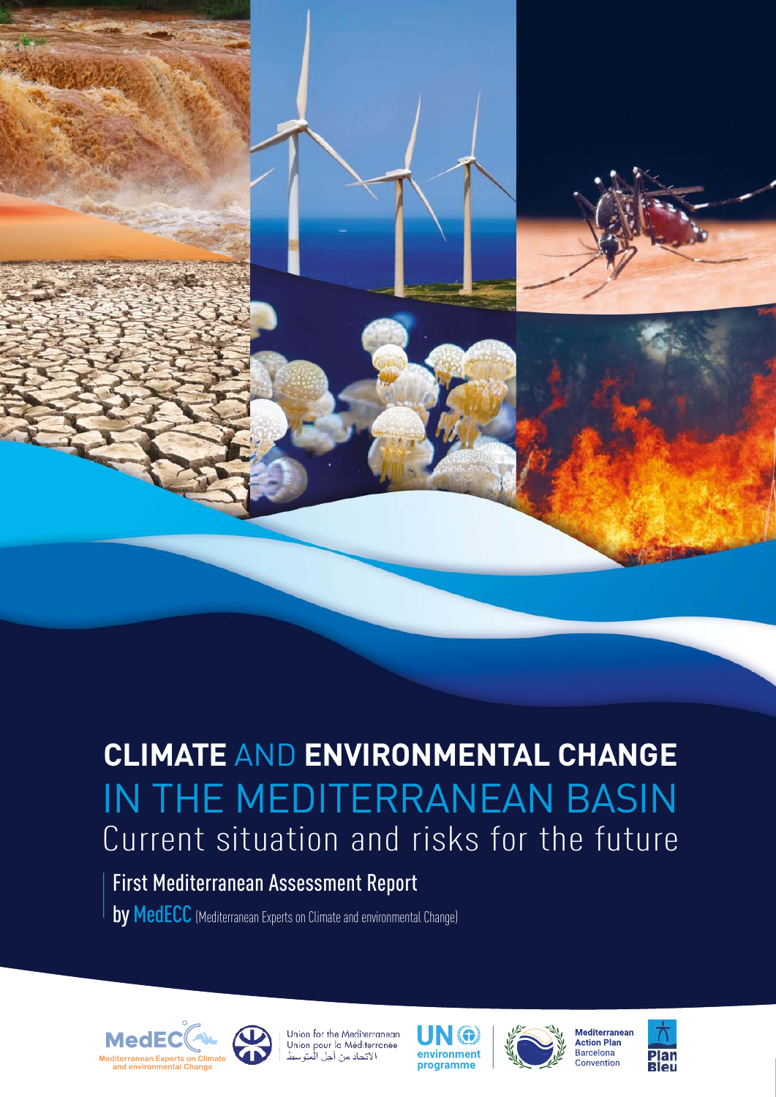<span id="page-0-0"></span>

# **CLIMATE** AND **ENVIRONMENTAL CHANGE** IN THE MEDITERRANEAN BASIN Current situation and risks for the future

First Mediterranean Assessment Report by MedECC (Mediterranean Experts on Climate and environmental Change)











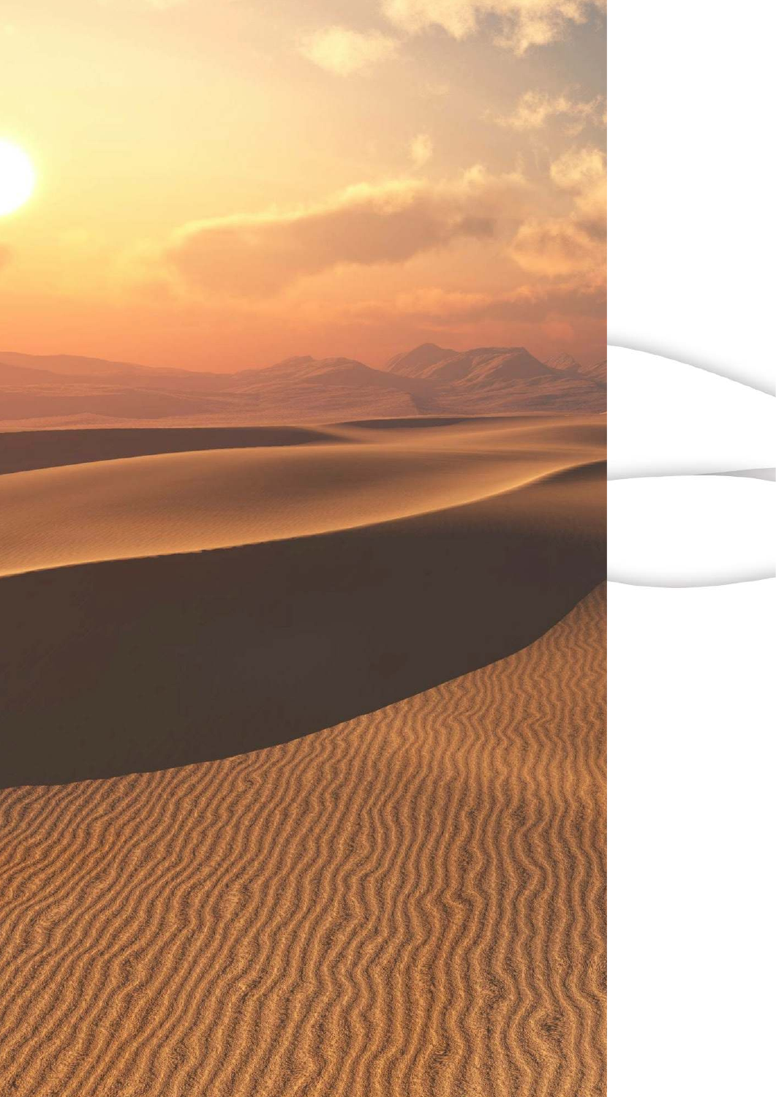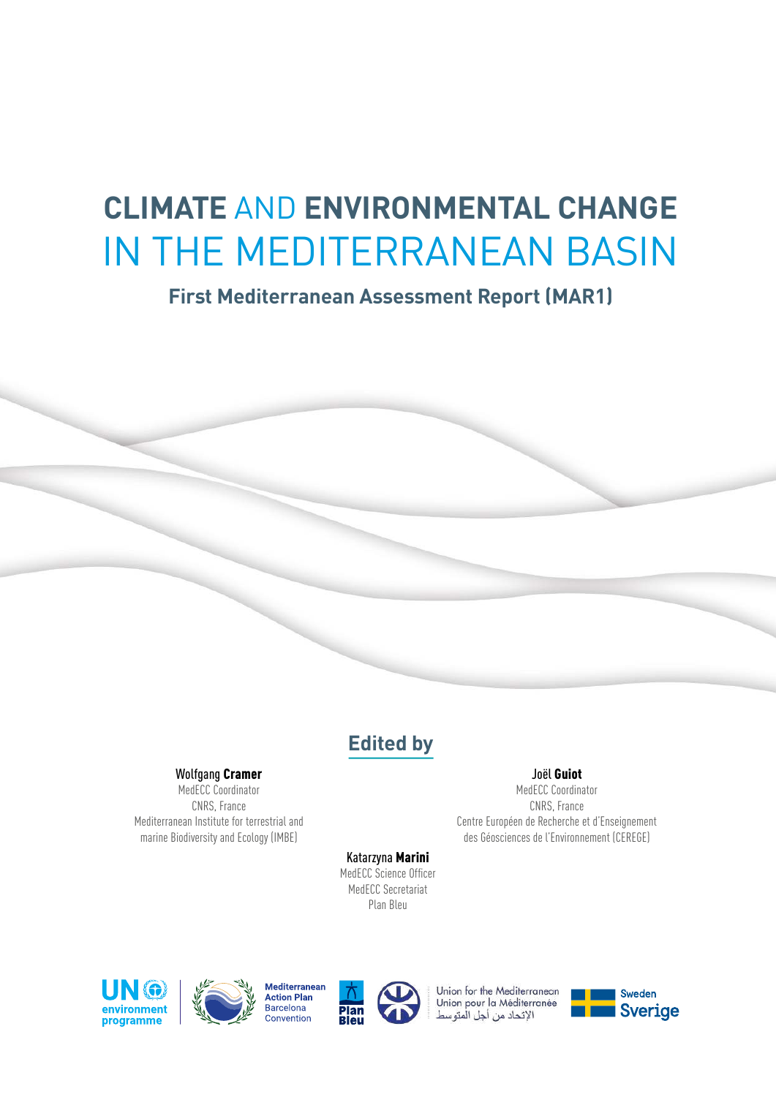# <span id="page-2-0"></span>**CLIMATE** AND **ENVIRONMENTAL CHANGE** IN THE MEDITERRANEAN BASIN

## **First Mediterranean Assessment Report (MAR1)**

## **Edited by**

### Wolfgang Cramer

MedECC Coordinator CNRS, France Mediterranean Institute for terrestrial and marine Biodiversity and Ecology (IMBE)

## Katarzyna Marini

MedECC Science Officer MedECC Secretariat Plan Bleu

### Joël Guiot

MedECC Coordinator CNRS, France Centre Européen de Recherche et d'Enseignement des Géosciences de l'Environnement (CEREGE)

### UN G environment programme







Union for the Mediterranean Union pour la Méditerranée<br>الإتحاد من أجل المتوسط

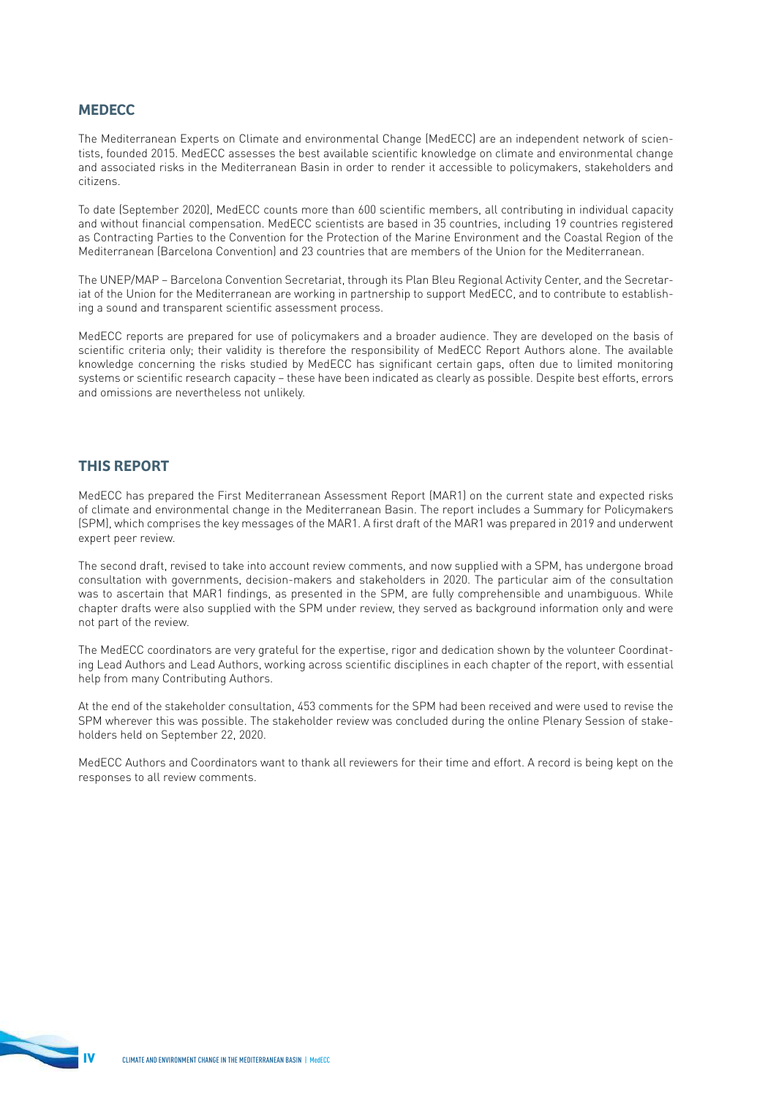#### **MEDECC**

The Mediterranean Experts on Climate and environmental Change (MedECC) are an independent network of scientists, founded 2015. MedECC assesses the best available scientific knowledge on climate and environmental change and associated risks in the Mediterranean Basin in order to render it accessible to policymakers, stakeholders and citizens.

To date (September 2020), MedECC counts more than 600 scientifc members, all contributing in individual capacity and without fnancial compensation. MedECC scientists are based in 35 countries, including 19 countries registered as Contracting Parties to the Convention for the Protection of the Marine Environment and the Coastal Region of the Mediterranean (Barcelona Convention) and 23 countries that are members of the Union for the Mediterranean.

The UNEP/MAP – Barcelona Convention Secretariat, through its Plan Bleu Regional Activity Center, and the Secretariat of the Union for the Mediterranean are working in partnership to support MedECC, and to contribute to establishing a sound and transparent scientifc assessment process.

MedECC reports are prepared for use of policymakers and a broader audience. They are developed on the basis of scientific criteria only; their validity is therefore the responsibility of MedECC Report Authors alone. The available knowledge concerning the risks studied by MedECC has signifcant certain gaps, often due to limited monitoring systems or scientifc research capacity – these have been indicated as clearly as possible. Despite best efforts, errors and omissions are nevertheless not unlikely.

#### **THIS REPORT**

MedECC has prepared the First Mediterranean Assessment Report (MAR1) on the current state and expected risks of climate and environmental change in the Mediterranean Basin. The report includes a Summary for Policymakers (SPM), which comprises the key messages of the MAR1. A frst draft of the MAR1 was prepared in 2019 and underwent expert peer review.

The second draft, revised to take into account review comments, and now supplied with a SPM, has undergone broad consultation with governments, decision-makers and stakeholders in 2020. The particular aim of the consultation was to ascertain that MAR1 findings, as presented in the SPM, are fully comprehensible and unambiguous. While chapter drafts were also supplied with the SPM under review, they served as background information only and were not part of the review.

The MedECC coordinators are very grateful for the expertise, rigor and dedication shown by the volunteer Coordinating Lead Authors and Lead Authors, working across scientific disciplines in each chapter of the report, with essential help from many Contributing Authors.

At the end of the stakeholder consultation, 453 comments for the SPM had been received and were used to revise the SPM wherever this was possible. The stakeholder review was concluded during the online Plenary Session of stakeholders held on September 22, 2020.

MedECC Authors and Coordinators want to thank all reviewers for their time and effort. A record is being kept on the responses to all review comments.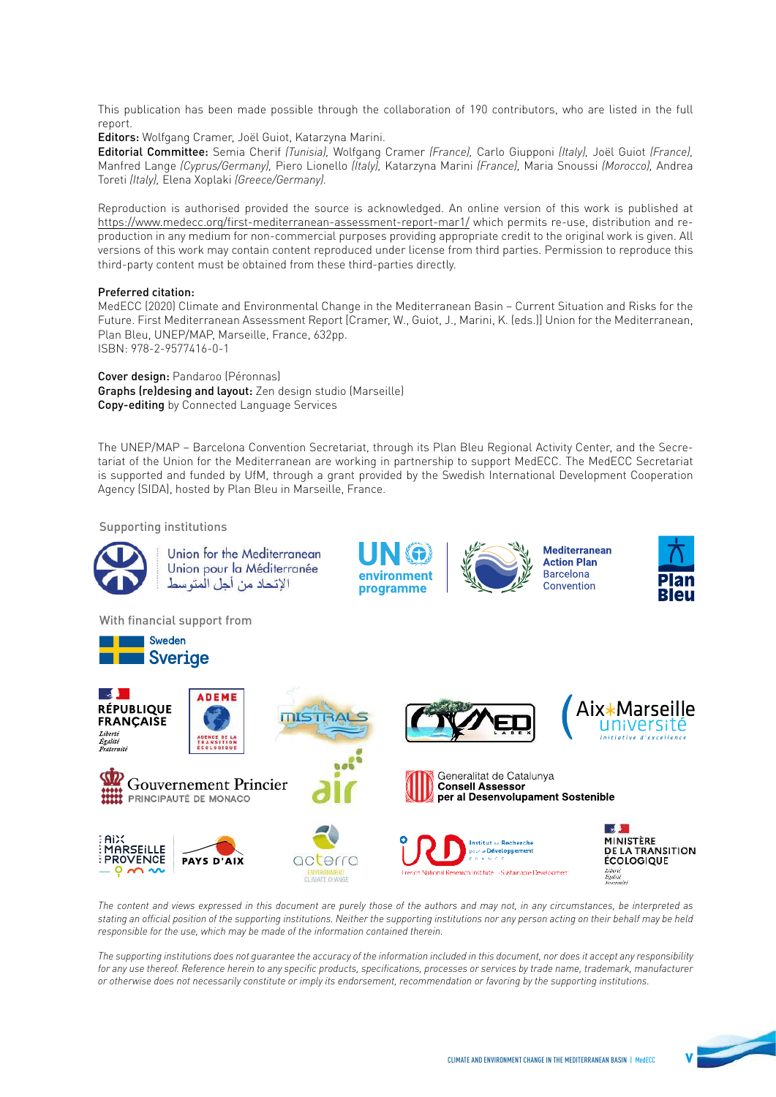This publication has been made possible through the collaboration of 190 contributors, who are listed in the full report.

Editors: Wolfgang Cramer, Joël Guiot, Katarzyna Marini.

Editorial Committee: Semia Cherif *(Tunisia),* Wolfgang Cramer *(France),* Carlo Giupponi *(Italy),* Joël Guiot *(France),* Manfred Lange *(Cyprus/Germany),* Piero Lionello *(Italy),* Katarzyna Marini *(France),* Maria Snoussi *(Morocco),* Andrea Toreti *(Italy),* Elena Xoplaki *(Greece/Germany).*

Reproduction is authorised provided the source is acknowledged. An online version of this work is published at [https://www.medecc.org/frst-mediterranean-assessment-report-mar1/](https://www.medecc.org/first-mediterranean-assessment-report-mar1/) which permits re-use, distribution and reproduction in any medium for non-commercial purposes providing appropriate credit to the original work is given. All versions of this work may contain content reproduced under license from third parties. Permission to reproduce this third-party content must be obtained from these third-parties directly.

#### Preferred citation:

MedECC (2020) Climate and Environmental Change in the Mediterranean Basin – Current Situation and Risks for the Future. First Mediterranean Assessment Report [Cramer, W., Guiot, J., Marini, K. (eds.)] Union for the Mediterranean, Plan Bleu, UNEP/MAP, Marseille, France, 632pp. ISBN: 978-2-9577416-0-1

Cover design: Pandaroo (Péronnas) Graphs (re)desing and layout: Zen design studio (Marseille) Copy-editing by Connected Language Services

The UNEP/MAP – Barcelona Convention Secretariat, through its Plan Bleu Regional Activity Center, and the Secretariat of the Union for the Mediterranean are working in partnership to support MedECC. The MedECC Secretariat is supported and funded by UfM, through a grant provided by the Swedish International Development Cooperation Agency (SIDA), hosted by Plan Bleu in Marseille, France.

Supporting institutions



*The content and views expressed in this document are purely those of the authors and may not, in any circumstances, be interpreted as*  stating an official position of the supporting institutions. Neither the supporting institutions nor any person acting on their behalf may be held *responsible for the use, which may be made of the information contained therein.* 

*The supporting institutions does not guarantee the accuracy of the information included in this document, nor does it accept any responsibility*  for any use thereof. Reference herein to any specific products, specifications, processes or services by trade name, trademark, manufacturer *or otherwise does not necessarily constitute or imply its endorsement, recommendation or favoring by the supporting institutions.*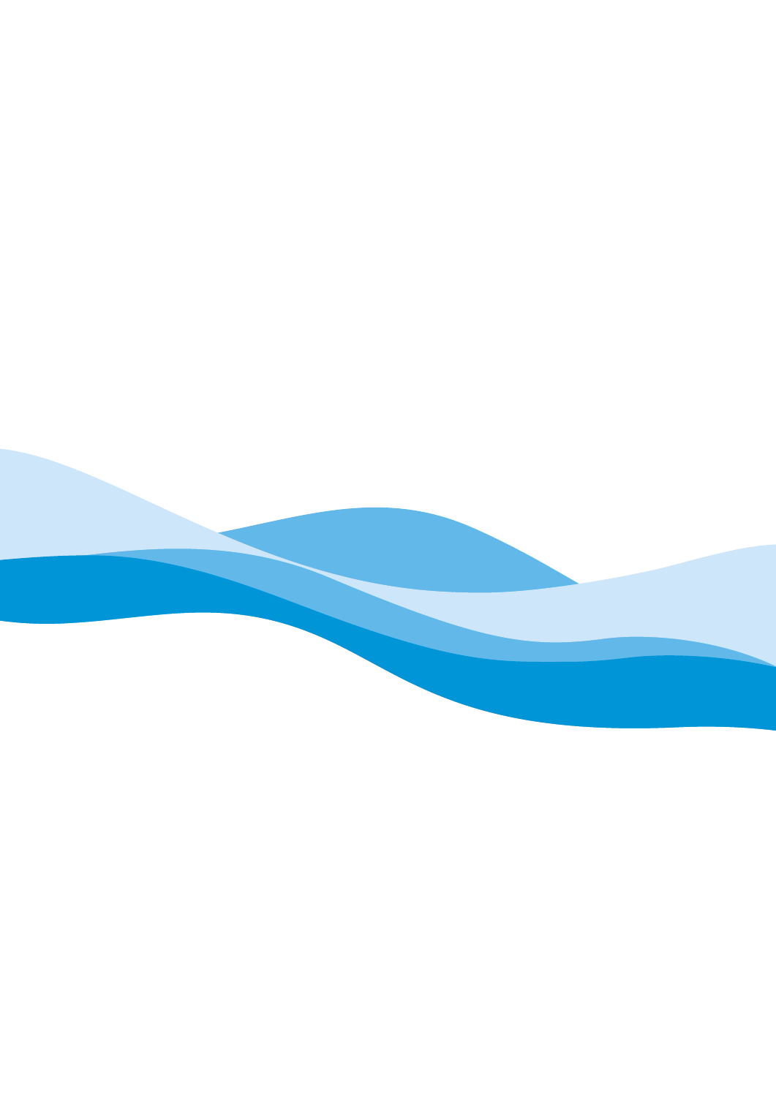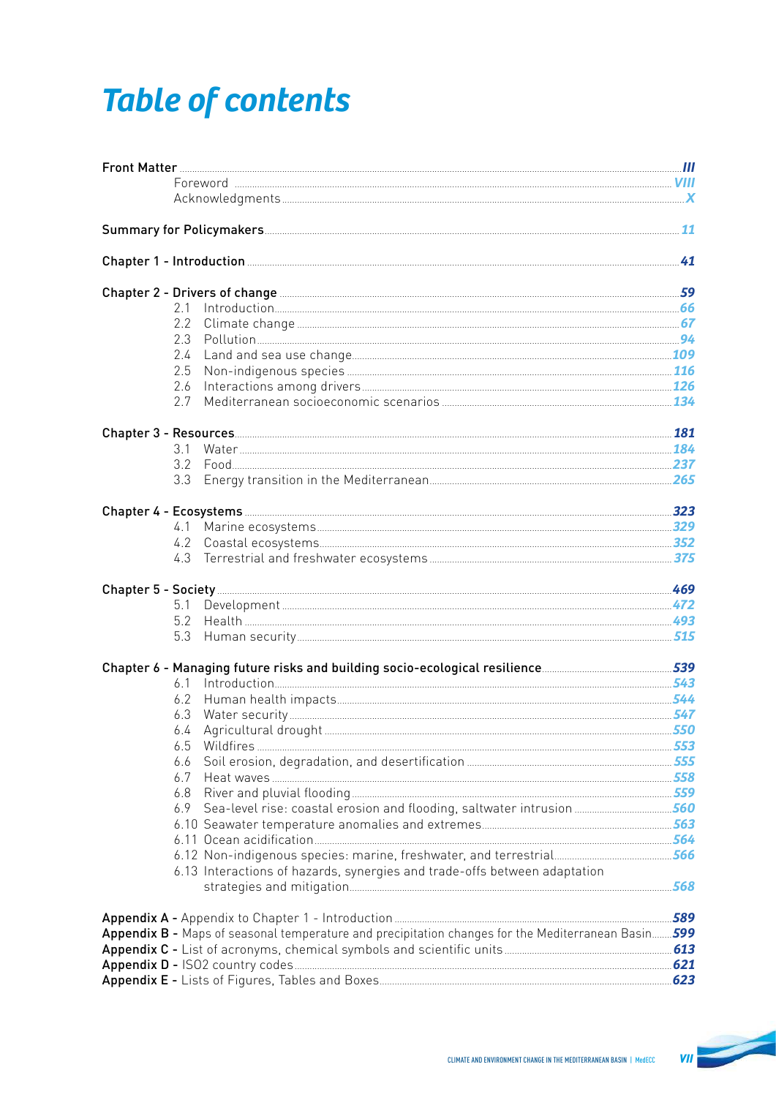# **Table of contents**

|     | Chapter 2 - Drivers of change <b>Exercise and Service Chapter 2</b> - Drivers of change            |  |
|-----|----------------------------------------------------------------------------------------------------|--|
| 2.1 |                                                                                                    |  |
| 2.2 |                                                                                                    |  |
|     |                                                                                                    |  |
|     |                                                                                                    |  |
| 2.5 |                                                                                                    |  |
| 2.6 |                                                                                                    |  |
| 2.7 |                                                                                                    |  |
|     | Chapter 3 - Resources 2000 181                                                                     |  |
|     |                                                                                                    |  |
|     |                                                                                                    |  |
|     |                                                                                                    |  |
|     |                                                                                                    |  |
|     |                                                                                                    |  |
|     |                                                                                                    |  |
|     |                                                                                                    |  |
|     |                                                                                                    |  |
| 5.1 |                                                                                                    |  |
|     |                                                                                                    |  |
|     |                                                                                                    |  |
|     |                                                                                                    |  |
|     |                                                                                                    |  |
|     |                                                                                                    |  |
|     |                                                                                                    |  |
|     |                                                                                                    |  |
| 6.5 |                                                                                                    |  |
| 6.6 |                                                                                                    |  |
| 6.7 |                                                                                                    |  |
| 6.8 |                                                                                                    |  |
|     |                                                                                                    |  |
|     |                                                                                                    |  |
|     |                                                                                                    |  |
|     |                                                                                                    |  |
|     | 6.13 Interactions of hazards, synergies and trade-offs between adaptation                          |  |
|     |                                                                                                    |  |
|     |                                                                                                    |  |
|     | Appendix B - Maps of seasonal temperature and precipitation changes for the Mediterranean Basin599 |  |
|     |                                                                                                    |  |
|     |                                                                                                    |  |
|     |                                                                                                    |  |

 $\mathbf{v}$  and  $\mathbf{v}$  and  $\mathbf{v}$  and  $\mathbf{v}$  and  $\mathbf{v}$  are  $\mathbf{v}$  and  $\mathbf{v}$  and  $\mathbf{v}$  are  $\mathbf{v}$  and  $\mathbf{v}$  and  $\mathbf{v}$  are  $\mathbf{v}$  and  $\mathbf{v}$  and  $\mathbf{v}$  are  $\mathbf{v}$  and  $\mathbf{v}$  and  $\mathbf{v}$  are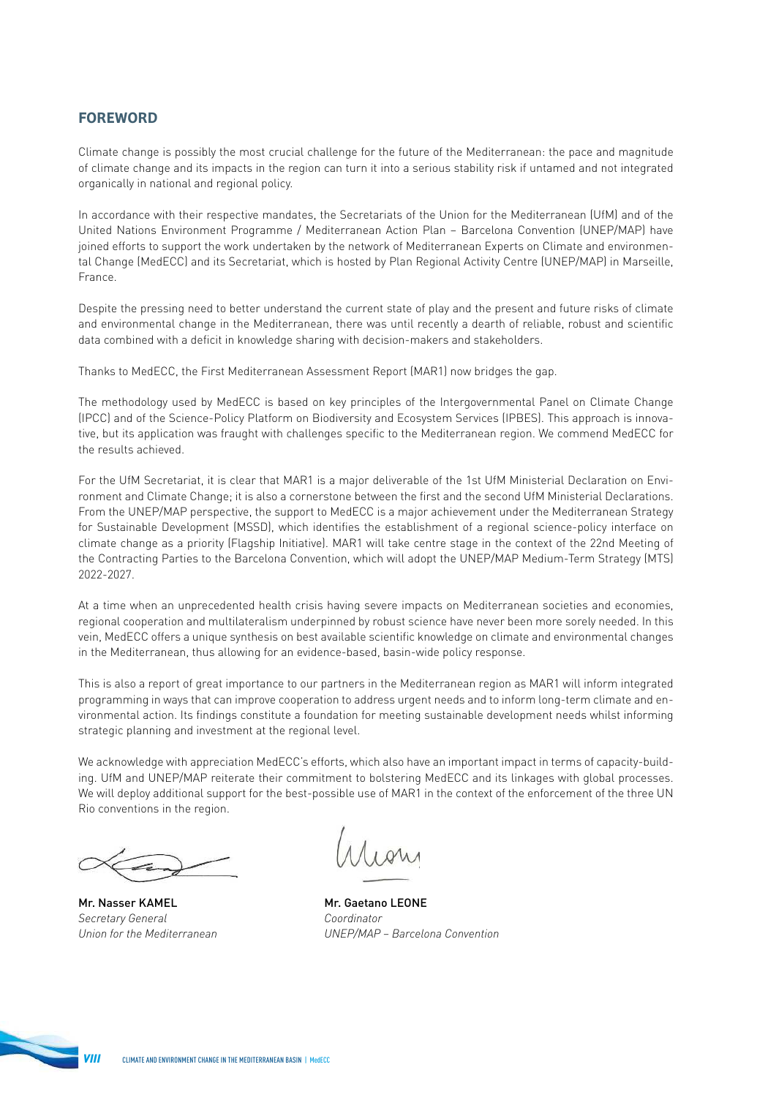#### <span id="page-7-0"></span>**FOREWORD**

Climate change is possibly the most crucial challenge for the future of the Mediterranean: the pace and magnitude of climate change and its impacts in the region can turn it into a serious stability risk if untamed and not integrated organically in national and regional policy.

In accordance with their respective mandates, the Secretariats of the Union for the Mediterranean (UfM) and of the United Nations Environment Programme / Mediterranean Action Plan – Barcelona Convention (UNEP/MAP) have joined efforts to support the work undertaken by the network of Mediterranean Experts on Climate and environmental Change (MedECC) and its Secretariat, which is hosted by Plan Regional Activity Centre (UNEP/MAP) in Marseille, France.

Despite the pressing need to better understand the current state of play and the present and future risks of climate and environmental change in the Mediterranean, there was until recently a dearth of reliable, robust and scientifc data combined with a deficit in knowledge sharing with decision-makers and stakeholders.

Thanks to MedECC, the First Mediterranean Assessment Report (MAR1) now bridges the gap.

The methodology used by MedECC is based on key principles of the Intergovernmental Panel on Climate Change (IPCC) and of the Science-Policy Platform on Biodiversity and Ecosystem Services (IPBES). This approach is innovative, but its application was fraught with challenges specifc to the Mediterranean region. We commend MedECC for the results achieved.

For the UfM Secretariat, it is clear that MAR1 is a major deliverable of the 1st UfM Ministerial Declaration on Environment and Climate Change; it is also a cornerstone between the frst and the second UfM Ministerial Declarations. From the UNEP/MAP perspective, the support to MedECC is a major achievement under the Mediterranean Strategy for Sustainable Development (MSSD), which identifies the establishment of a regional science-policy interface on climate change as a priority (Flagship Initiative). MAR1 will take centre stage in the context of the 22nd Meeting of the Contracting Parties to the Barcelona Convention, which will adopt the UNEP/MAP Medium-Term Strategy (MTS) 2022-2027.

At a time when an unprecedented health crisis having severe impacts on Mediterranean societies and economies, regional cooperation and multilateralism underpinned by robust science have never been more sorely needed. In this vein. MedECC offers a unique synthesis on best available scientific knowledge on climate and environmental changes in the Mediterranean, thus allowing for an evidence-based, basin-wide policy response.

This is also a report of great importance to our partners in the Mediterranean region as MAR1 will inform integrated programming in ways that can improve cooperation to address urgent needs and to inform long-term climate and environmental action. Its fndings constitute a foundation for meeting sustainable development needs whilst informing strategic planning and investment at the regional level.

We acknowledge with appreciation MedECC's efforts, which also have an important impact in terms of capacity-building. UfM and UNEP/MAP reiterate their commitment to bolstering MedECC and its linkages with global processes. We will deploy additional support for the best-possible use of MAR1 in the context of the enforcement of the three UN Rio conventions in the region.

Mr. Nasser KAMEL *Secretary General Union for the Mediterranean*

Mr. Gaetano LEONE *Coordinator*  UNEP/MAP – Barcelona Convention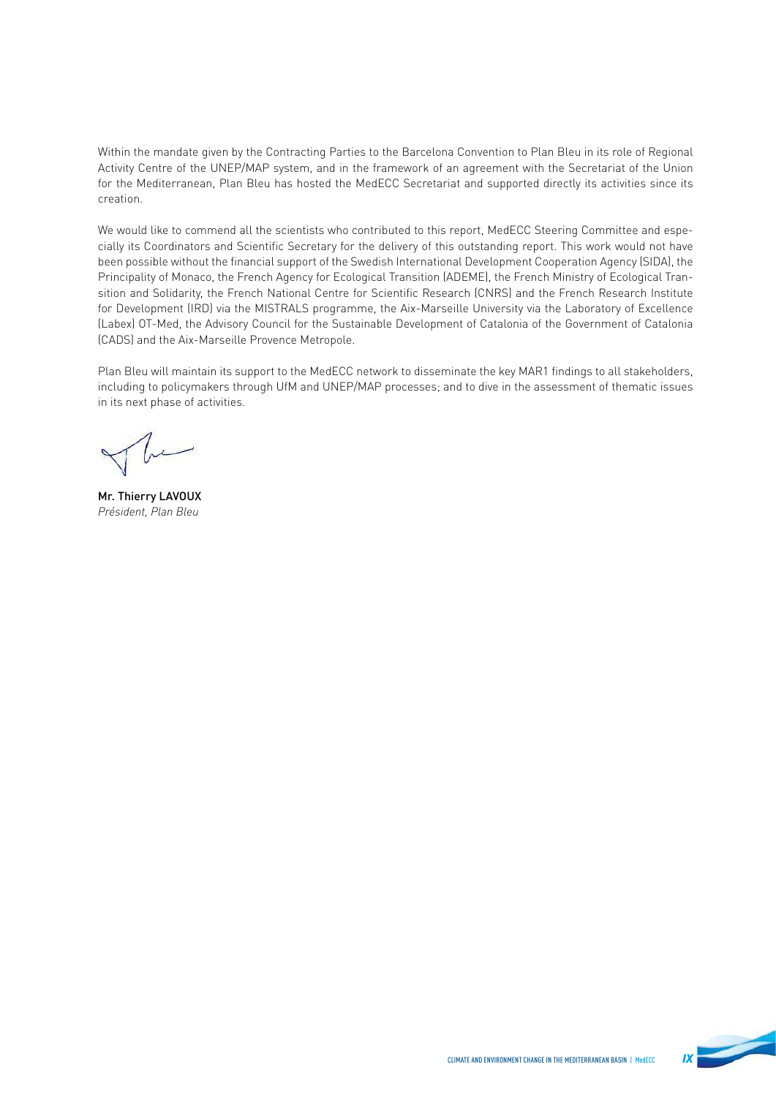Within the mandate given by the Contracting Parties to the Barcelona Convention to Plan Bleu in its role of Regional Activity Centre of the UNEP/MAP system, and in the framework of an agreement with the Secretariat of the Union for the Mediterranean, Plan Bleu has hosted the MedECC Secretariat and supported directly its activities since its creation.

We would like to commend all the scientists who contributed to this report, MedECC Steering Committee and especially its Coordinators and Scientific Secretary for the delivery of this outstanding report. This work would not have been possible without the fnancial support of the Swedish International Development Cooperation Agency (SIDA), the Principality of Monaco, the French Agency for Ecological Transition (ADEME), the French Ministry of Ecological Transition and Solidarity, the French National Centre for Scientific Research (CNRS) and the French Research Institute for Development (IRD) via the MISTRALS programme, the Aix-Marseille University via the Laboratory of Excellence (Labex) OT-Med, the Advisory Council for the Sustainable Development of Catalonia of the Government of Catalonia (CADS) and the Aix-Marseille Provence Metropole.

Plan Bleu will maintain its support to the MedECC network to disseminate the key MAR1 findings to all stakeholders, including to policymakers through UfM and UNEP/MAP processes; and to dive in the assessment of thematic issues in its next phase of activities.

be

Mr. Thierry LAVOUX Président, Plan Bleu

 $\overline{\phantom{0}}$